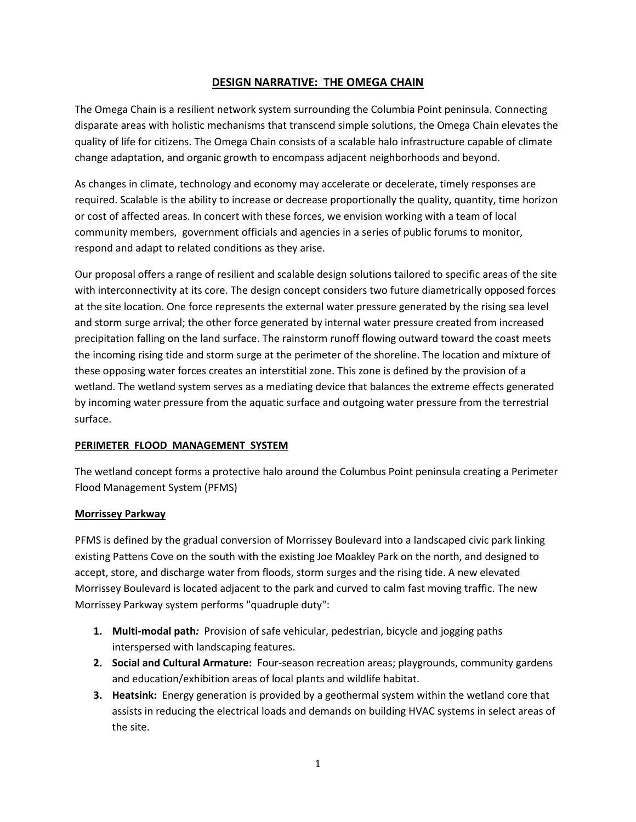# **DESIGN NARRATIVE: THE OMEGA CHAIN**

The Omega Chain is a resilient network system surrounding the Columbia Point peninsula. Connecting disparate areas with holistic mechanisms that transcend simple solutions, the Omega Chain elevates the quality of life for citizens. The Omega Chain consists of a scalable halo infrastructure capable of climate change adaptation, and organic growth to encompass adjacent neighborhoods and beyond.

As changes in climate, technology and economy may accelerate or decelerate, timely responses are required. Scalable is the ability to increase or decrease proportionally the quality, quantity, time horizon or cost of affected areas. In concert with these forces, we envision working with a team of local community members, government officials and agencies in a series of public forums to monitor, respond and adapt to related conditions as they arise.

Our proposal offers a range of resilient and scalable design solutions tailored to specific areas of the site with interconnectivity at its core. The design concept considers two future diametrically opposed forces at the site location. One force represents the external water pressure generated by the rising sea level and storm surge arrival; the other force generated by internal water pressure created from increased precipitation falling on the land surface. The rainstorm runoff flowing outward toward the coast meets the incoming rising tide and storm surge at the perimeter of the shoreline. The location and mixture of these opposing water forces creates an interstitial zone. This zone is defined by the provision of a wetland. The wetland system serves as a mediating device that balances the extreme effects generated by incoming water pressure from the aquatic surface and outgoing water pressure from the terrestrial surface.

## **PERIMETER FLOOD MANAGEMENT SYSTEM**

The wetland concept forms a protective halo around the Columbus Point peninsula creating a Perimeter Flood Management System (PFMS)

## **Morrissey Parkway**

PFMS is defined by the gradual conversion of Morrissey Boulevard into a landscaped civic park linking existing Pattens Cove on the south with the existing Joe Moakley Park on the north, and designed to accept, store, and discharge water from floods, storm surges and the rising tide. A new elevated Morrissey Boulevard is located adjacent to the park and curved to calm fast moving traffic. The new Morrissey Parkway system performs "quadruple duty":

- **1. Multi-modal path***:* Provision of safe vehicular, pedestrian, bicycle and jogging paths interspersed with landscaping features.
- **2. Social and Cultural Armature:** Four-season recreation areas; playgrounds, community gardens and education/exhibition areas of local plants and wildlife habitat.
- **3. Heatsink:** Energy generation is provided by a geothermal system within the wetland core that assists in reducing the electrical loads and demands on building HVAC systems in select areas of the site.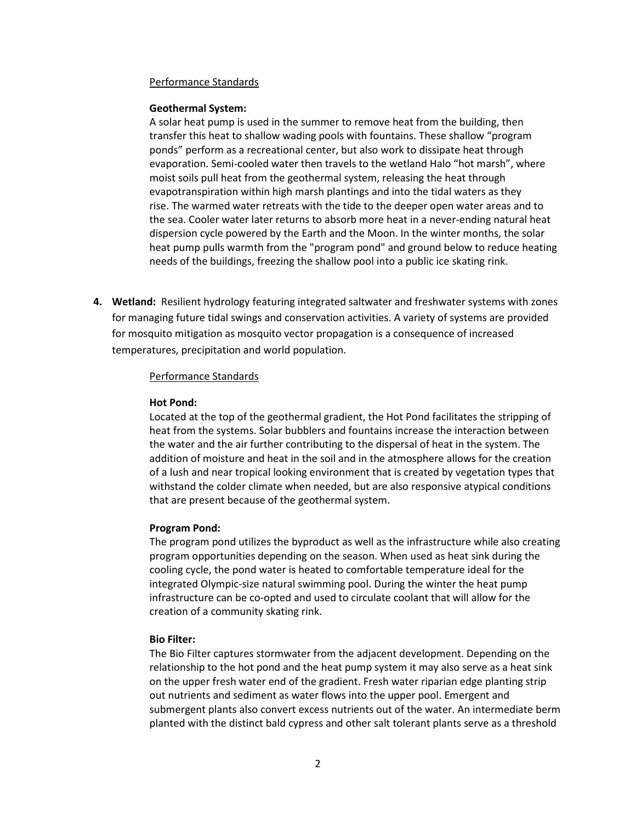### Performance Standards

### **Geothermal System:**

A solar heat pump is used in the summer to remove heat from the building, then transfer this heat to shallow wading pools with fountains. These shallow "program ponds" perform as a recreational center, but also work to dissipate heat through evaporation. Semi-cooled water then travels to the wetland Halo "hot marsh", where moist soils pull heat from the geothermal system, releasing the heat through evapotranspiration within high marsh plantings and into the tidal waters as they rise. The warmed water retreats with the tide to the deeper open water areas and to the sea. Cooler water later returns to absorb more heat in a never-ending natural heat dispersion cycle powered by the Earth and the Moon. In the winter months, the solar heat pump pulls warmth from the "program pond" and ground below to reduce heating needs of the buildings, freezing the shallow pool into a public ice skating rink.

**4. Wetland:** Resilient hydrology featuring integrated saltwater and freshwater systems with zones for managing future tidal swings and conservation activities. A variety of systems are provided for mosquito mitigation as mosquito vector propagation is a consequence of increased temperatures, precipitation and world population.

### Performance Standards

### **Hot Pond:**

Located at the top of the geothermal gradient, the Hot Pond facilitates the stripping of heat from the systems. Solar bubblers and fountains increase the interaction between the water and the air further contributing to the dispersal of heat in the system. The addition of moisture and heat in the soil and in the atmosphere allows for the creation of a lush and near tropical looking environment that is created by vegetation types that withstand the colder climate when needed, but are also responsive atypical conditions that are present because of the geothermal system.

### **Program Pond:**

The program pond utilizes the byproduct as well as the infrastructure while also creating program opportunities depending on the season. When used as heat sink during the cooling cycle, the pond water is heated to comfortable temperature ideal for the integrated Olympic-size natural swimming pool. During the winter the heat pump infrastructure can be co-opted and used to circulate coolant that will allow for the creation of a community skating rink.

### **Bio Filter:**

The Bio Filter captures stormwater from the adjacent development. Depending on the relationship to the hot pond and the heat pump system it may also serve as a heat sink on the upper fresh water end of the gradient. Fresh water riparian edge planting strip out nutrients and sediment as water flows into the upper pool. Emergent and submergent plants also convert excess nutrients out of the water. An intermediate berm planted with the distinct bald cypress and other salt tolerant plants serve as a threshold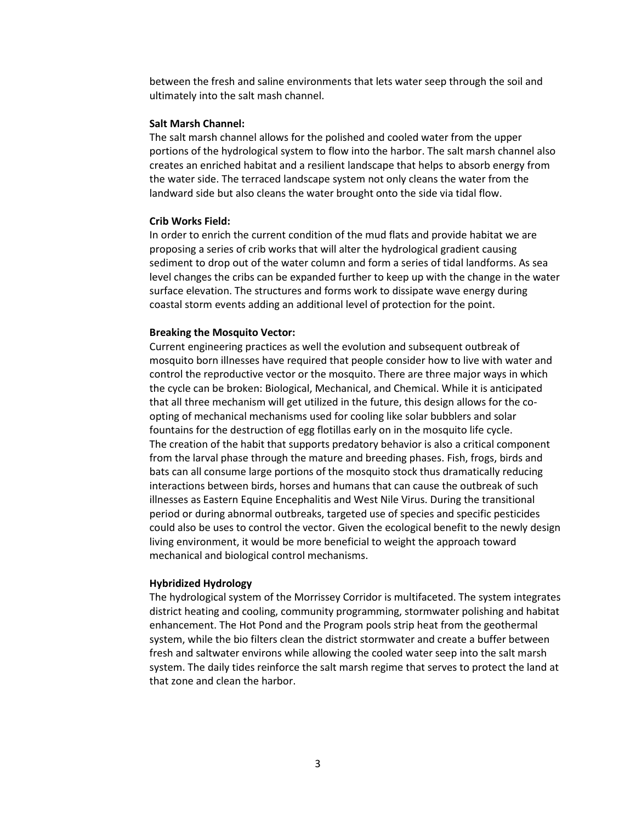between the fresh and saline environments that lets water seep through the soil and ultimately into the salt mash channel.

#### **Salt Marsh Channel:**

The salt marsh channel allows for the polished and cooled water from the upper portions of the hydrological system to flow into the harbor. The salt marsh channel also creates an enriched habitat and a resilient landscape that helps to absorb energy from the water side. The terraced landscape system not only cleans the water from the landward side but also cleans the water brought onto the side via tidal flow.

### **Crib Works Field:**

In order to enrich the current condition of the mud flats and provide habitat we are proposing a series of crib works that will alter the hydrological gradient causing sediment to drop out of the water column and form a series of tidal landforms. As sea level changes the cribs can be expanded further to keep up with the change in the water surface elevation. The structures and forms work to dissipate wave energy during coastal storm events adding an additional level of protection for the point.

#### **Breaking the Mosquito Vector:**

Current engineering practices as well the evolution and subsequent outbreak of mosquito born illnesses have required that people consider how to live with water and control the reproductive vector or the mosquito. There are three major ways in which the cycle can be broken: Biological, Mechanical, and Chemical. While it is anticipated that all three mechanism will get utilized in the future, this design allows for the coopting of mechanical mechanisms used for cooling like solar bubblers and solar fountains for the destruction of egg flotillas early on in the mosquito life cycle. The creation of the habit that supports predatory behavior is also a critical component from the larval phase through the mature and breeding phases. Fish, frogs, birds and bats can all consume large portions of the mosquito stock thus dramatically reducing interactions between birds, horses and humans that can cause the outbreak of such illnesses as Eastern Equine Encephalitis and West Nile Virus. During the transitional period or during abnormal outbreaks, targeted use of species and specific pesticides could also be uses to control the vector. Given the ecological benefit to the newly design living environment, it would be more beneficial to weight the approach toward mechanical and biological control mechanisms.

#### **Hybridized Hydrology**

The hydrological system of the Morrissey Corridor is multifaceted. The system integrates district heating and cooling, community programming, stormwater polishing and habitat enhancement. The Hot Pond and the Program pools strip heat from the geothermal system, while the bio filters clean the district stormwater and create a buffer between fresh and saltwater environs while allowing the cooled water seep into the salt marsh system. The daily tides reinforce the salt marsh regime that serves to protect the land at that zone and clean the harbor.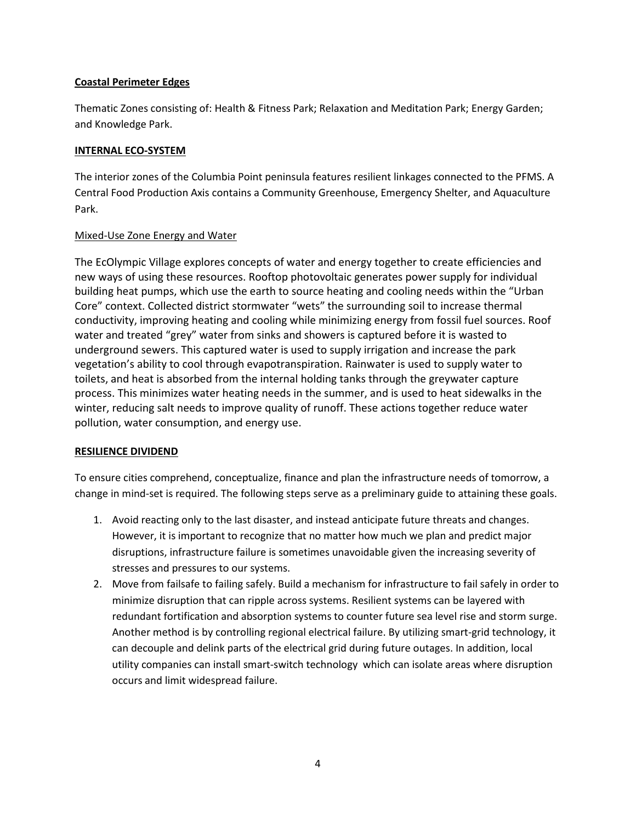# **Coastal Perimeter Edges**

Thematic Zones consisting of: Health & Fitness Park; Relaxation and Meditation Park; Energy Garden; and Knowledge Park.

## **INTERNAL ECO-SYSTEM**

The interior zones of the Columbia Point peninsula features resilient linkages connected to the PFMS. A Central Food Production Axis contains a Community Greenhouse, Emergency Shelter, and Aquaculture Park.

# Mixed-Use Zone Energy and Water

The EcOlympic Village explores concepts of water and energy together to create efficiencies and new ways of using these resources. Rooftop photovoltaic generates power supply for individual building heat pumps, which use the earth to source heating and cooling needs within the "Urban Core" context. Collected district stormwater "wets" the surrounding soil to increase thermal conductivity, improving heating and cooling while minimizing energy from fossil fuel sources. Roof water and treated "grey" water from sinks and showers is captured before it is wasted to underground sewers. This captured water is used to supply irrigation and increase the park vegetation's ability to cool through evapotranspiration. Rainwater is used to supply water to toilets, and heat is absorbed from the internal holding tanks through the greywater capture process. This minimizes water heating needs in the summer, and is used to heat sidewalks in the winter, reducing salt needs to improve quality of runoff. These actions together reduce water pollution, water consumption, and energy use.

## **RESILIENCE DIVIDEND**

To ensure cities comprehend, conceptualize, finance and plan the infrastructure needs of tomorrow, a change in mind-set is required. The following steps serve as a preliminary guide to attaining these goals.

- 1. Avoid reacting only to the last disaster, and instead anticipate future threats and changes. However, it is important to recognize that no matter how much we plan and predict major disruptions, infrastructure failure is sometimes unavoidable given the increasing severity of stresses and pressures to our systems.
- 2. Move from failsafe to failing safely. Build a mechanism for infrastructure to fail safely in order to minimize disruption that can ripple across systems. Resilient systems can be layered with redundant fortification and absorption systems to counter future sea level rise and storm surge. Another method is by controlling regional electrical failure. By utilizing smart-grid technology, it can decouple and delink parts of the electrical grid during future outages. In addition, local utility companies can install smart-switch technology which can isolate areas where disruption occurs and limit widespread failure.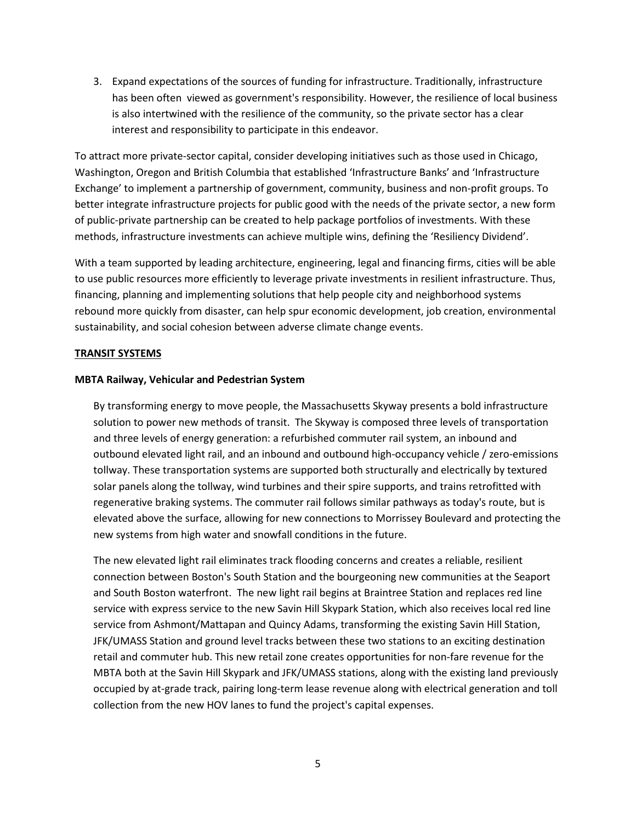3. Expand expectations of the sources of funding for infrastructure. Traditionally, infrastructure has been often viewed as government's responsibility. However, the resilience of local business is also intertwined with the resilience of the community, so the private sector has a clear interest and responsibility to participate in this endeavor.

To attract more private-sector capital, consider developing initiatives such as those used in Chicago, Washington, Oregon and British Columbia that established 'Infrastructure Banks' and 'Infrastructure Exchange' to implement a partnership of government, community, business and non-profit groups. To better integrate infrastructure projects for public good with the needs of the private sector, a new form of public-private partnership can be created to help package portfolios of investments. With these methods, infrastructure investments can achieve multiple wins, defining the 'Resiliency Dividend'.

With a team supported by leading architecture, engineering, legal and financing firms, cities will be able to use public resources more efficiently to leverage private investments in resilient infrastructure. Thus, financing, planning and implementing solutions that help people city and neighborhood systems rebound more quickly from disaster, can help spur economic development, job creation, environmental sustainability, and social cohesion between adverse climate change events.

## **TRANSIT SYSTEMS**

### **MBTA Railway, Vehicular and Pedestrian System**

By transforming energy to move people, the Massachusetts Skyway presents a bold infrastructure solution to power new methods of transit. The Skyway is composed three levels of transportation and three levels of energy generation: a refurbished commuter rail system, an inbound and outbound elevated light rail, and an inbound and outbound high-occupancy vehicle / zero-emissions tollway. These transportation systems are supported both structurally and electrically by textured solar panels along the tollway, wind turbines and their spire supports, and trains retrofitted with regenerative braking systems. The commuter rail follows similar pathways as today's route, but is elevated above the surface, allowing for new connections to Morrissey Boulevard and protecting the new systems from high water and snowfall conditions in the future.

The new elevated light rail eliminates track flooding concerns and creates a reliable, resilient connection between Boston's South Station and the bourgeoning new communities at the Seaport and South Boston waterfront. The new light rail begins at Braintree Station and replaces red line service with express service to the new Savin Hill Skypark Station, which also receives local red line service from Ashmont/Mattapan and Quincy Adams, transforming the existing Savin Hill Station, JFK/UMASS Station and ground level tracks between these two stations to an exciting destination retail and commuter hub. This new retail zone creates opportunities for non-fare revenue for the MBTA both at the Savin Hill Skypark and JFK/UMASS stations, along with the existing land previously occupied by at-grade track, pairing long-term lease revenue along with electrical generation and toll collection from the new HOV lanes to fund the project's capital expenses.